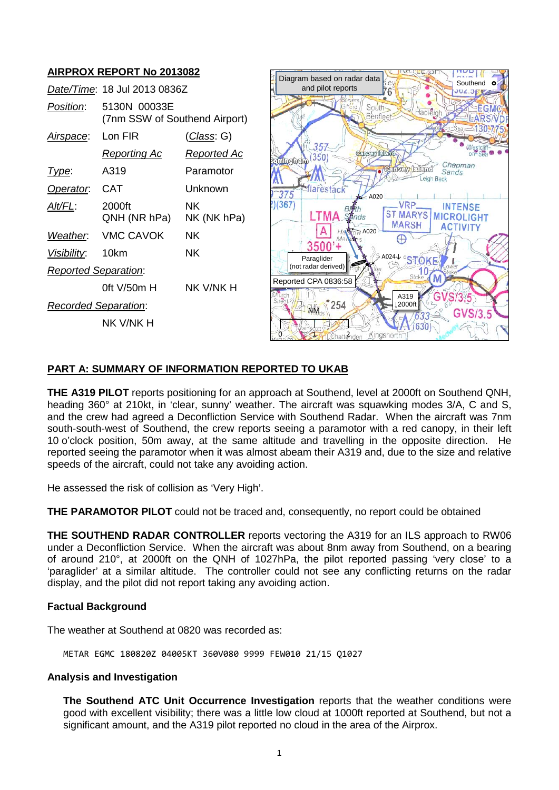# **AIRPROX REPORT No 2013082**

|                             | Date/Time: 18 Jul 2013 0836Z                  |                    |
|-----------------------------|-----------------------------------------------|--------------------|
| Position:                   | 5130N 00033E<br>(7nm SSW of Southend Airport) |                    |
| <u>Airspace:</u>            | l on FIR                                      | <u>(Class</u> : G) |
|                             | <b>Reporting Ac</b>                           | Reported Ac        |
| Type:                       | A319                                          | Paramotor          |
| Operator.                   | CAT                                           | l Inknown          |
| Alt/FL:                     | 2000ft<br>QNH (NR hPa)                        | ΝK<br>NK (NK hPa)  |
| Weather.                    | VMC CAVOK                                     | NΚ                 |
| Visibility:                 | 10km                                          | ΝK                 |
| <b>Reported Separation:</b> |                                               |                    |
|                             | 0ft V/50m H                                   | NK V/NK H          |
| <b>Recorded Separation:</b> |                                               |                    |
|                             | NK V/NK H                                     |                    |



## **PART A: SUMMARY OF INFORMATION REPORTED TO UKAB**

**THE A319 PILOT** reports positioning for an approach at Southend, level at 2000ft on Southend QNH, heading 360° at 210kt, in 'clear, sunny' weather. The aircraft was squawking modes 3/A, C and S, and the crew had agreed a Deconfliction Service with Southend Radar. When the aircraft was 7nm south-south-west of Southend, the crew reports seeing a paramotor with a red canopy, in their left 10 o'clock position, 50m away, at the same altitude and travelling in the opposite direction. He reported seeing the paramotor when it was almost abeam their A319 and, due to the size and relative speeds of the aircraft, could not take any avoiding action.

He assessed the risk of collision as 'Very High'.

**THE PARAMOTOR PILOT** could not be traced and, consequently, no report could be obtained

**THE SOUTHEND RADAR CONTROLLER** reports vectoring the A319 for an ILS approach to RW06 under a Deconfliction Service. When the aircraft was about 8nm away from Southend, on a bearing of around 210°, at 2000ft on the QNH of 1027hPa, the pilot reported passing 'very close' to a 'paraglider' at a similar altitude. The controller could not see any conflicting returns on the radar display, and the pilot did not report taking any avoiding action.

## **Factual Background**

The weather at Southend at 0820 was recorded as:

METAR EGMC 180820Z 04005KT 360V080 9999 FEW010 21/15 Q1027

## **Analysis and Investigation**

**The Southend ATC Unit Occurrence Investigation** reports that the weather conditions were good with excellent visibility; there was a little low cloud at 1000ft reported at Southend, but not a significant amount, and the A319 pilot reported no cloud in the area of the Airprox.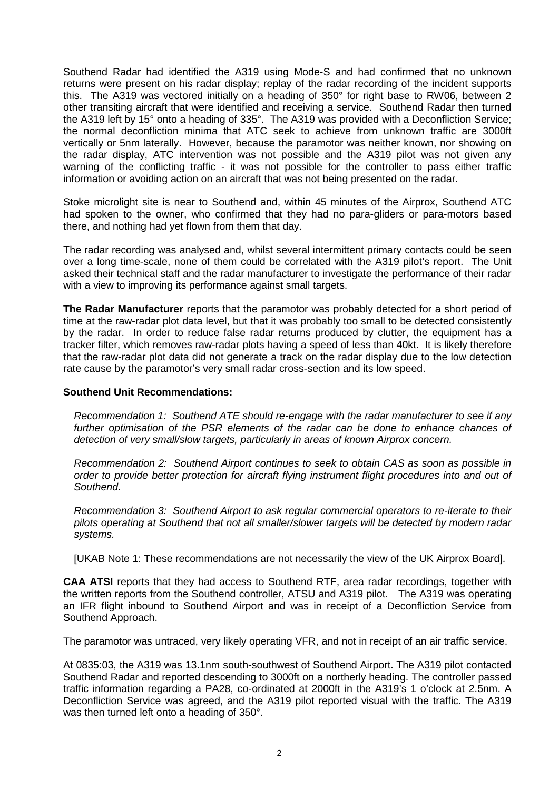Southend Radar had identified the A319 using Mode-S and had confirmed that no unknown returns were present on his radar display; replay of the radar recording of the incident supports this. The A319 was vectored initially on a heading of 350° for right base to RW06, between 2 other transiting aircraft that were identified and receiving a service. Southend Radar then turned the A319 left by 15° onto a heading of 335°. The A319 was provided with a Deconfliction Service; the normal deconfliction minima that ATC seek to achieve from unknown traffic are 3000ft vertically or 5nm laterally. However, because the paramotor was neither known, nor showing on the radar display, ATC intervention was not possible and the A319 pilot was not given any warning of the conflicting traffic - it was not possible for the controller to pass either traffic information or avoiding action on an aircraft that was not being presented on the radar.

Stoke microlight site is near to Southend and, within 45 minutes of the Airprox, Southend ATC had spoken to the owner, who confirmed that they had no para-gliders or para-motors based there, and nothing had yet flown from them that day.

The radar recording was analysed and, whilst several intermittent primary contacts could be seen over a long time-scale, none of them could be correlated with the A319 pilot's report. The Unit asked their technical staff and the radar manufacturer to investigate the performance of their radar with a view to improving its performance against small targets.

**The Radar Manufacturer** reports that the paramotor was probably detected for a short period of time at the raw-radar plot data level, but that it was probably too small to be detected consistently by the radar. In order to reduce false radar returns produced by clutter, the equipment has a tracker filter, which removes raw-radar plots having a speed of less than 40kt. It is likely therefore that the raw-radar plot data did not generate a track on the radar display due to the low detection rate cause by the paramotor's very small radar cross-section and its low speed.

#### **Southend Unit Recommendations:**

*Recommendation 1: Southend ATE should re-engage with the radar manufacturer to see if any*  further optimisation of the PSR elements of the radar can be done to enhance chances of *detection of very small/slow targets, particularly in areas of known Airprox concern.* 

*Recommendation 2: Southend Airport continues to seek to obtain CAS as soon as possible in order to provide better protection for aircraft flying instrument flight procedures into and out of Southend.*

*Recommendation 3: Southend Airport to ask regular commercial operators to re-iterate to their pilots operating at Southend that not all smaller/slower targets will be detected by modern radar systems.*

[UKAB Note 1: These recommendations are not necessarily the view of the UK Airprox Board].

**CAA ATSI** reports that they had access to Southend RTF, area radar recordings, together with the written reports from the Southend controller, ATSU and A319 pilot. The A319 was operating an IFR flight inbound to Southend Airport and was in receipt of a Deconfliction Service from Southend Approach.

The paramotor was untraced, very likely operating VFR, and not in receipt of an air traffic service.

At 0835:03, the A319 was 13.1nm south-southwest of Southend Airport. The A319 pilot contacted Southend Radar and reported descending to 3000ft on a northerly heading. The controller passed traffic information regarding a PA28, co-ordinated at 2000ft in the A319's 1 o'clock at 2.5nm. A Deconfliction Service was agreed, and the A319 pilot reported visual with the traffic. The A319 was then turned left onto a heading of 350°.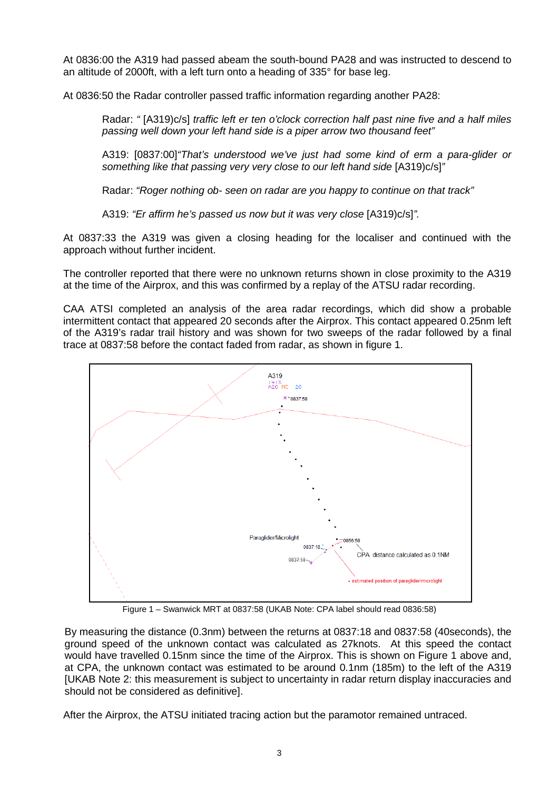At 0836:00 the A319 had passed abeam the south-bound PA28 and was instructed to descend to an altitude of 2000ft, with a left turn onto a heading of 335° for base leg.

At 0836:50 the Radar controller passed traffic information regarding another PA28:

Radar: *"* [A319)c/s] *traffic left er ten o'clock correction half past nine five and a half miles passing well down your left hand side is a piper arrow two thousand feet"*

A319: [0837:00]*"That's understood we've just had some kind of erm a para-glider or something like that passing very very close to our left hand side* [A319)c/s]*"*

Radar: *"Roger nothing ob- seen on radar are you happy to continue on that track"*

A319: *"Er affirm he's passed us now but it was very close* [A319)c/s]*".*

At 0837:33 the A319 was given a closing heading for the localiser and continued with the approach without further incident.

The controller reported that there were no unknown returns shown in close proximity to the A319 at the time of the Airprox, and this was confirmed by a replay of the ATSU radar recording.

CAA ATSI completed an analysis of the area radar recordings, which did show a probable intermittent contact that appeared 20 seconds after the Airprox. This contact appeared 0.25nm left of the A319's radar trail history and was shown for two sweeps of the radar followed by a final trace at 0837:58 before the contact faded from radar, as shown in figure 1.



Figure 1 – Swanwick MRT at 0837:58 (UKAB Note: CPA label should read 0836:58)

By measuring the distance (0.3nm) between the returns at 0837:18 and 0837:58 (40seconds), the ground speed of the unknown contact was calculated as 27knots. At this speed the contact would have travelled 0.15nm since the time of the Airprox. This is shown on Figure 1 above and, at CPA, the unknown contact was estimated to be around 0.1nm (185m) to the left of the A319 [UKAB Note 2: this measurement is subject to uncertainty in radar return display inaccuracies and should not be considered as definitive].

After the Airprox, the ATSU initiated tracing action but the paramotor remained untraced.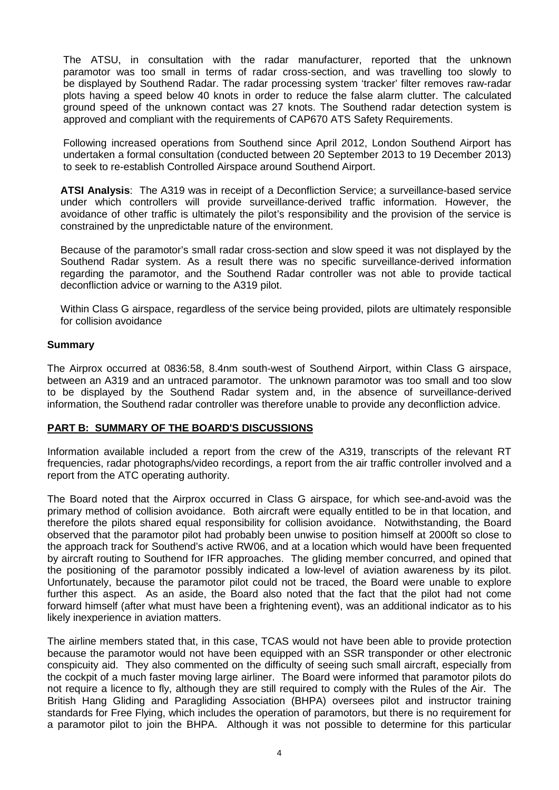The ATSU, in consultation with the radar manufacturer, reported that the unknown paramotor was too small in terms of radar cross-section, and was travelling too slowly to be displayed by Southend Radar. The radar processing system 'tracker' filter removes raw-radar plots having a speed below 40 knots in order to reduce the false alarm clutter. The calculated ground speed of the unknown contact was 27 knots. The Southend radar detection system is approved and compliant with the requirements of CAP670 ATS Safety Requirements.

Following increased operations from Southend since April 2012, London Southend Airport has undertaken a formal consultation (conducted between 20 September 2013 to 19 December 2013) to seek to re-establish Controlled Airspace around Southend Airport.

**ATSI Analysis**: The A319 was in receipt of a Deconfliction Service; a surveillance-based service under which controllers will provide surveillance-derived traffic information. However, the avoidance of other traffic is ultimately the pilot's responsibility and the provision of the service is constrained by the unpredictable nature of the environment.

Because of the paramotor's small radar cross-section and slow speed it was not displayed by the Southend Radar system. As a result there was no specific surveillance-derived information regarding the paramotor, and the Southend Radar controller was not able to provide tactical deconfliction advice or warning to the A319 pilot.

Within Class G airspace, regardless of the service being provided, pilots are ultimately responsible for collision avoidance

### **Summary**

The Airprox occurred at 0836:58, 8.4nm south-west of Southend Airport, within Class G airspace, between an A319 and an untraced paramotor. The unknown paramotor was too small and too slow to be displayed by the Southend Radar system and, in the absence of surveillance-derived information, the Southend radar controller was therefore unable to provide any deconfliction advice.

#### **PART B: SUMMARY OF THE BOARD'S DISCUSSIONS**

Information available included a report from the crew of the A319, transcripts of the relevant RT frequencies, radar photographs/video recordings, a report from the air traffic controller involved and a report from the ATC operating authority.

The Board noted that the Airprox occurred in Class G airspace, for which see-and-avoid was the primary method of collision avoidance. Both aircraft were equally entitled to be in that location, and therefore the pilots shared equal responsibility for collision avoidance. Notwithstanding, the Board observed that the paramotor pilot had probably been unwise to position himself at 2000ft so close to the approach track for Southend's active RW06, and at a location which would have been frequented by aircraft routing to Southend for IFR approaches. The gliding member concurred, and opined that the positioning of the paramotor possibly indicated a low-level of aviation awareness by its pilot. Unfortunately, because the paramotor pilot could not be traced, the Board were unable to explore further this aspect. As an aside, the Board also noted that the fact that the pilot had not come forward himself (after what must have been a frightening event), was an additional indicator as to his likely inexperience in aviation matters.

The airline members stated that, in this case, TCAS would not have been able to provide protection because the paramotor would not have been equipped with an SSR transponder or other electronic conspicuity aid. They also commented on the difficulty of seeing such small aircraft, especially from the cockpit of a much faster moving large airliner. The Board were informed that paramotor pilots do not require a licence to fly, although they are still required to comply with the Rules of the Air. The British Hang Gliding and Paragliding Association (BHPA) oversees pilot and instructor training standards for Free Flying, which includes the operation of paramotors, but there is no requirement for a paramotor pilot to join the BHPA. Although it was not possible to determine for this particular